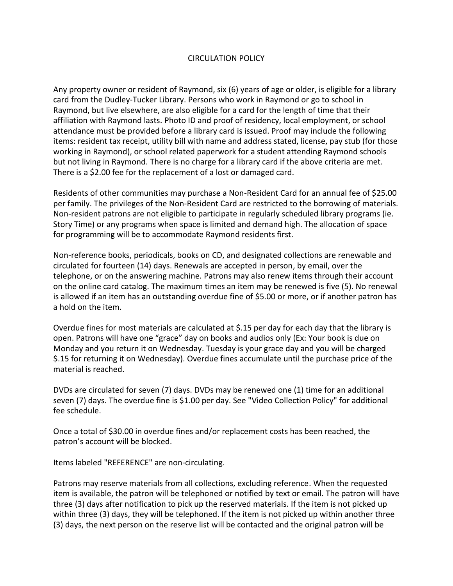## CIRCULATION POLICY

Any property owner or resident of Raymond, six (6) years of age or older, is eligible for a library card from the Dudley-Tucker Library. Persons who work in Raymond or go to school in Raymond, but live elsewhere, are also eligible for a card for the length of time that their affiliation with Raymond lasts. Photo ID and proof of residency, local employment, or school attendance must be provided before a library card is issued. Proof may include the following items: resident tax receipt, utility bill with name and address stated, license, pay stub (for those working in Raymond), or school related paperwork for a student attending Raymond schools but not living in Raymond. There is no charge for a library card if the above criteria are met. There is a \$2.00 fee for the replacement of a lost or damaged card.

Residents of other communities may purchase a Non-Resident Card for an annual fee of \$25.00 per family. The privileges of the Non-Resident Card are restricted to the borrowing of materials. Non-resident patrons are not eligible to participate in regularly scheduled library programs (ie. Story Time) or any programs when space is limited and demand high. The allocation of space for programming will be to accommodate Raymond residents first.

Non-reference books, periodicals, books on CD, and designated collections are renewable and circulated for fourteen (14) days. Renewals are accepted in person, by email, over the telephone, or on the answering machine. Patrons may also renew items through their account on the online card catalog. The maximum times an item may be renewed is five (5). No renewal is allowed if an item has an outstanding overdue fine of \$5.00 or more, or if another patron has a hold on the item.

Overdue fines for most materials are calculated at \$.15 per day for each day that the library is open. Patrons will have one "grace" day on books and audios only (Ex: Your book is due on Monday and you return it on Wednesday. Tuesday is your grace day and you will be charged \$.15 for returning it on Wednesday). Overdue fines accumulate until the purchase price of the material is reached.

DVDs are circulated for seven (7) days. DVDs may be renewed one (1) time for an additional seven (7) days. The overdue fine is \$1.00 per day. See "Video Collection Policy" for additional fee schedule.

Once a total of \$30.00 in overdue fines and/or replacement costs has been reached, the patron's account will be blocked.

Items labeled "REFERENCE" are non-circulating.

Patrons may reserve materials from all collections, excluding reference. When the requested item is available, the patron will be telephoned or notified by text or email. The patron will have three (3) days after notification to pick up the reserved materials. If the item is not picked up within three (3) days, they will be telephoned. If the item is not picked up within another three (3) days, the next person on the reserve list will be contacted and the original patron will be